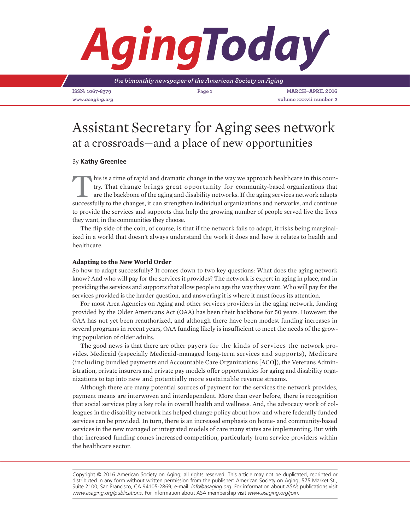# *Aging*

*the bimonthly newspaper of the American Society on Aging*

**ISSN: 1067-8379 Page 1 March–April 2016** *www.asaging.org* **volume xxxvii number 2**

# Assistant Secretary for Aging sees network at a crossroads—and a place of new opportunities

# By **Kathy Greenlee**

This is a time of rapid and dramatic change in the way we approach healthcare in this country. That change brings great opportunity for community-based organizations that are the backbone of the aging and disability networ try. That change brings great opportunity for community-based organizations that are the backbone of the aging and disability networks. If the aging services network adapts successfully to the changes, it can strengthen individual organizations and networks, and continue to provide the services and supports that help the growing number of people served live the lives they want, in the communities they choose.

The flip side of the coin, of course, is that if the network fails to adapt, it risks being marginalized in a world that doesn't always understand the work it does and how it relates to health and healthcare.

# **Adapting to the New World Order**

So how to adapt successfully? It comes down to two key questions: What does the aging network know? And who will pay for the services it provides? The network is expert in aging in place, and in providing the services and supports that allow people to age the way they want. Who will pay for the services provided is the harder question, and answering it is where it must focus its attention.

For most Area Agencies on Aging and other services providers in the aging network, funding provided by the Older Americans Act (OAA) has been their backbone for 50 years. However, the OAA has not yet been reauthorized, and although there have been modest funding increases in several programs in recent years, OAA funding likely is insufficient to meet the needs of the growing population of older adults.

The good news is that there are other payers for the kinds of services the network provides. Medicaid (especially Medicaid-managed long-term services and supports), Medicare (including bundled payments and Accountable Care Organizations [ACO]), the Veterans Administration, private insurers and private pay models offer opportunities for aging and disability organizations to tap into new and potentially more sustainable revenue streams.

Although there are many potential sources of payment for the services the network provides, payment means are interwoven and interdependent. More than ever before, there is recognition that social services play a key role in overall health and wellness. And, the advocacy work of colleagues in the disability network has helped change policy about how and where federally funded services can be provided. In turn, there is an increased emphasis on home- and community-based services in the new managed or integrated models of care many states are implementing. But with that increased funding comes increased competition, particularly from service providers within the healthcare sector.

Copyright © 2016 American Society on Aging; all rights reserved. This article may not be duplicated, reprinted or distributed in any form without written permission from the publisher: American Society on Aging, 575 Market St., Suite 2100, San Francisco, CA 94105-2869; e-mail: *info@asaging.org*. For information about ASA's publications visit *www.asaging.org/publications*. For information about ASA membership visit *www.asaging.org/join*.